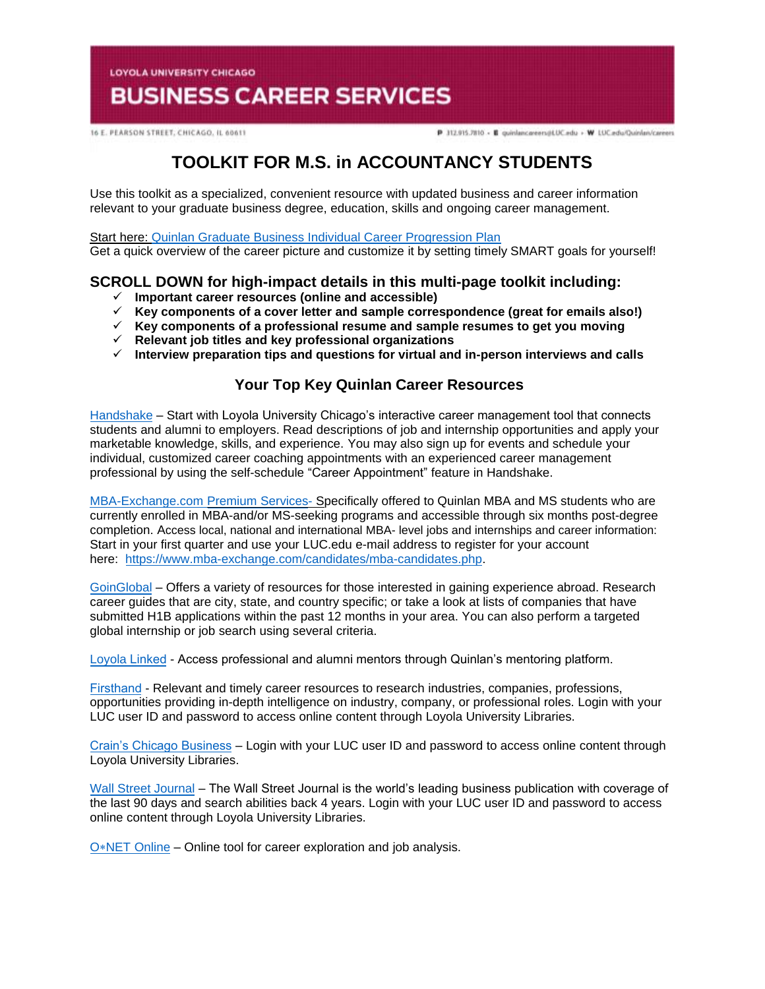**LOYOLA UNIVERSITY CHICAGO** 

# **BUSINESS CAREER SERVICES**

16 E. PEARSON STREET, CHICAGO, IL 60611

P 312.915.7810 - E quinlancareers@LUC.edu - W LUC.edu/Quinlan/careers

# **TOOLKIT FOR M.S. in ACCOUNTANCY STUDENTS**

Use this toolkit as a specialized, convenient resource with updated business and career information relevant to your graduate business degree, education, skills and ongoing career management.

Start here: [Quinlan Graduate Business Individual Career Progression Plan](https://www.luc.edu/media/lucedu/quinlan-businesscareerservices/Quinlan%20Graduate%20Business%20Individual%20Career%20Progression%20Plan2019%20Final.pdf)  Get a quick overview of the career picture and customize it by setting timely SMART goals for yourself!

# **SCROLL DOWN for high-impact details in this multi-page toolkit including:**

- **Important career resources (online and accessible)**
- **Key components of a cover letter and sample correspondence (great for emails also!)**
- **Key components of a professional resume and sample resumes to get you moving**
- **Relevant job titles and key professional organizations**
- **Interview preparation tips and questions for virtual and in-person interviews and calls**

# **Your Top Key Quinlan Career Resources**

[Handshake](https://luc.joinhandshake.com/login) – Start with Loyola University Chicago's interactive career management tool that connects students and alumni to employers. Read descriptions of job and internship opportunities and apply your marketable knowledge, skills, and experience. You may also sign up for events and schedule your individual, customized career coaching appointments with an experienced career management professional by using the self-schedule "Career Appointment" feature in Handshake.

[MBA-Exchange.com P](https://www.luc.edu/quinlan/careers/studentservices/job-search/)remium Services- Specifically offered to Quinlan MBA and MS students who are currently enrolled in MBA-and/or MS-seeking programs and accessible through six months post-degree completion. Access local, national and international MBA- level jobs and internships and career information: Start in your first quarter and use your LUC.edu e-mail address to register for your account here: [https://www.mba-exchange.com/candidates/mba-candidates.php.](http://email.mail.joinhandshake.com/c/eJxFkN1uhCAQhZ9G75YgIOIFFzaNL9AHMAjTlV1-jGDs4xfttk3mZr6Tc2ZyjBRCz6K2kmCCMSe84W3bYNSgQQyUF4C7caBvTVcx7JV16BFtWFQwaVFPQDr6epGfDCgHMxPWEo2V6ATue2hAi45RwVnt5JLzmio6VGQscxwH8rO6wZcuWfcrp2Bdcq1RGVJZTv0foHVZKzq6uFX0nVWE79lPKe6bhgK8Smk634PtJXkwdvdFghO_oI4hQ8iFcix69hujlV-VvYfC92CnrLY7ZDDTZU31Jh8JnEulAbdrBGavs-wZvn3oJUZX_7UxXW9crska-XPjGw06c3I?lor=5&utm_source=mass_mailer&utm_medium=email&utm_content=608944&utm_campaign=uni_targeted_emails) 

[GoinGlobal](https://online.goinglobal.com/) – Offers a variety of resources for those interested in gaining experience abroad. Research career guides that are city, state, and country specific; or take a look at lists of companies that have submitted H1B applications within the past 12 months in your area. You can also perform a targeted global internship or job search using several criteria.

[Loyola](https://mentors.luc.edu/) Linked - Access professional and alumni mentors through Quinlan's mentoring platform.

[First](https://login.flagship.luc.edu/login?qurl=https%3a%2f%2faccess.vault.com%2fcareer-insider-login.aspx%3faid%3d256866)hand - Relevant and timely career resources to research industries, companies, professions, opportunities providing in-depth intelligence on industry, company, or professional roles. Login with your LUC user ID and password to access online content through Loyola University Libraries.

[Crain's Chicago Business](https://loyola-primo.hosted.exlibrisgroup.com/primo-explore/fulldisplay?docid=01LUC_ALMA2180212020002506&vid=01LUC&search_scope=Library_Collections&tab=jsearch_slot&lang=en_US&context=L) – Login with your LUC user ID and password to access online content through Loyola University Libraries.

[Wall Street Journal](http://libraries.luc.edu/databases/database/858) – The Wall Street Journal is the world's leading business publication with coverage of the last 90 days and search abilities back 4 years. Login with your LUC user ID and password to access online content through Loyola University Libraries.

O∗[NET Online](https://www.onetonline.org/) – Online tool for career exploration and job analysis.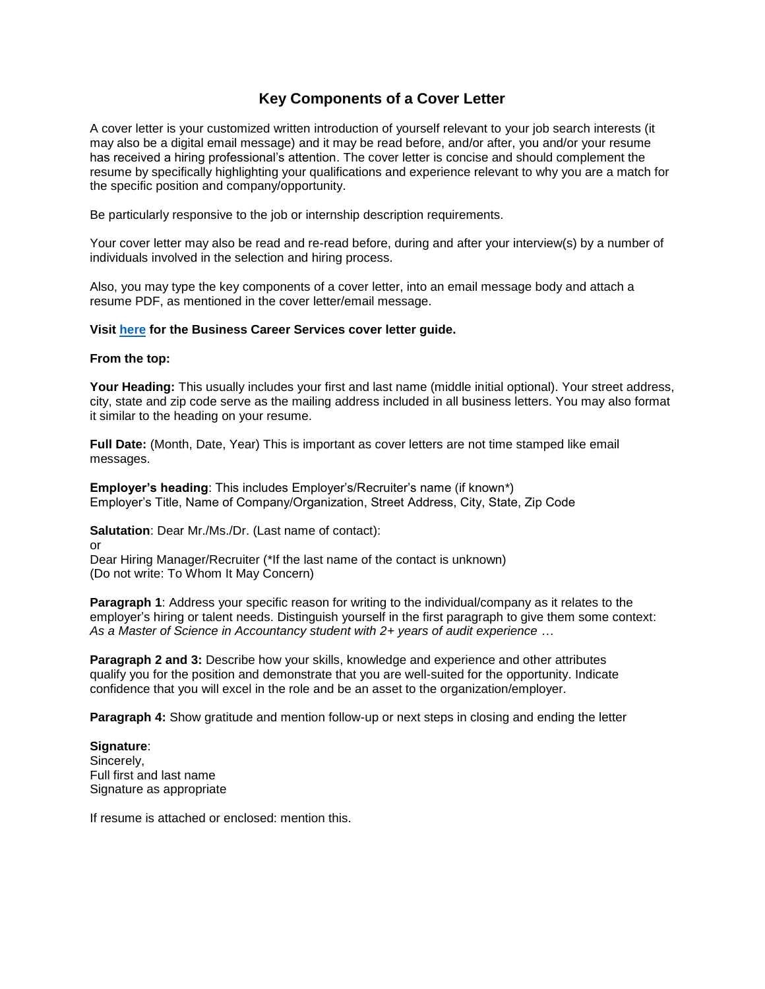# **Key Components of a Cover Letter**

A cover letter is your customized written introduction of yourself relevant to your job search interests (it may also be a digital email message) and it may be read before, and/or after, you and/or your resume has received a hiring professional's attention. The cover letter is concise and should complement the resume by specifically highlighting your qualifications and experience relevant to why you are a match for the specific position and company/opportunity.

Be particularly responsive to the job or internship description requirements.

Your cover letter may also be read and re-read before, during and after your interview(s) by a number of individuals involved in the selection and hiring process.

Also, you may type the key components of a cover letter, into an email message body and attach a resume PDF, as mentioned in the cover letter/email message.

#### **Visit [here](https://www.luc.edu/media/lucedu/quinlan-businesscareerservices/Cover%20Letter%20Guidelines.pdf) for the Business Career Services cover letter guide.**

#### **From the top:**

**Your Heading:** This usually includes your first and last name (middle initial optional). Your street address, city, state and zip code serve as the mailing address included in all business letters. You may also format it similar to the heading on your resume.

**Full Date:** (Month, Date, Year) This is important as cover letters are not time stamped like email messages.

**Employer's heading**: This includes Employer's/Recruiter's name (if known\*) Employer's Title, Name of Company/Organization, Street Address, City, State, Zip Code

**Salutation**: Dear Mr./Ms./Dr. (Last name of contact):

or

Dear Hiring Manager/Recruiter (\*If the last name of the contact is unknown) (Do not write: To Whom It May Concern)

**Paragraph 1:** Address your specific reason for writing to the individual/company as it relates to the employer's hiring or talent needs. Distinguish yourself in the first paragraph to give them some context: *As a Master of Science in Accountancy student with 2+ years of audit experience …* 

**Paragraph 2 and 3:** Describe how your skills, knowledge and experience and other attributes qualify you for the position and demonstrate that you are well-suited for the opportunity. Indicate confidence that you will excel in the role and be an asset to the organization/employer.

**Paragraph 4:** Show gratitude and mention follow-up or next steps in closing and ending the letter

**Signature**: Sincerely, Full first and last name Signature as appropriate

If resume is attached or enclosed: mention this.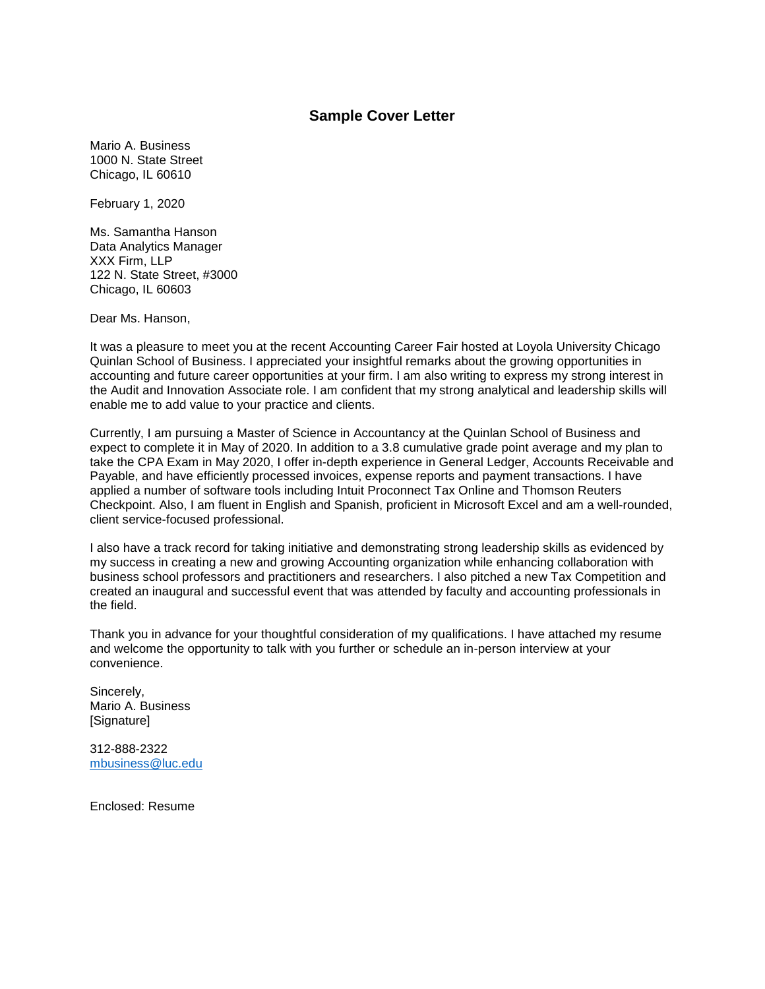### **Sample Cover Letter**

Mario A. Business 1000 N. State Street Chicago, IL 60610

February 1, 2020

Ms. Samantha Hanson Data Analytics Manager XXX Firm, LLP 122 N. State Street, #3000 Chicago, IL 60603

Dear Ms. Hanson,

It was a pleasure to meet you at the recent Accounting Career Fair hosted at Loyola University Chicago Quinlan School of Business. I appreciated your insightful remarks about the growing opportunities in accounting and future career opportunities at your firm. I am also writing to express my strong interest in the Audit and Innovation Associate role. I am confident that my strong analytical and leadership skills will enable me to add value to your practice and clients.

Currently, I am pursuing a Master of Science in Accountancy at the Quinlan School of Business and expect to complete it in May of 2020. In addition to a 3.8 cumulative grade point average and my plan to take the CPA Exam in May 2020, I offer in-depth experience in General Ledger, Accounts Receivable and Payable, and have efficiently processed invoices, expense reports and payment transactions. I have applied a number of software tools including Intuit Proconnect Tax Online and Thomson Reuters Checkpoint. Also, I am fluent in English and Spanish, proficient in Microsoft Excel and am a well-rounded, client service-focused professional.

I also have a track record for taking initiative and demonstrating strong leadership skills as evidenced by my success in creating a new and growing Accounting organization while enhancing collaboration with business school professors and practitioners and researchers. I also pitched a new Tax Competition and created an inaugural and successful event that was attended by faculty and accounting professionals in the field.

Thank you in advance for your thoughtful consideration of my qualifications. I have attached my resume and welcome the opportunity to talk with you further or schedule an in-person interview at your convenience.

Sincerely, Mario A. Business [Signature]

312-888-2322 [mbusiness@luc.edu](mailto:mbusiness@luc.edu)

Enclosed: Resume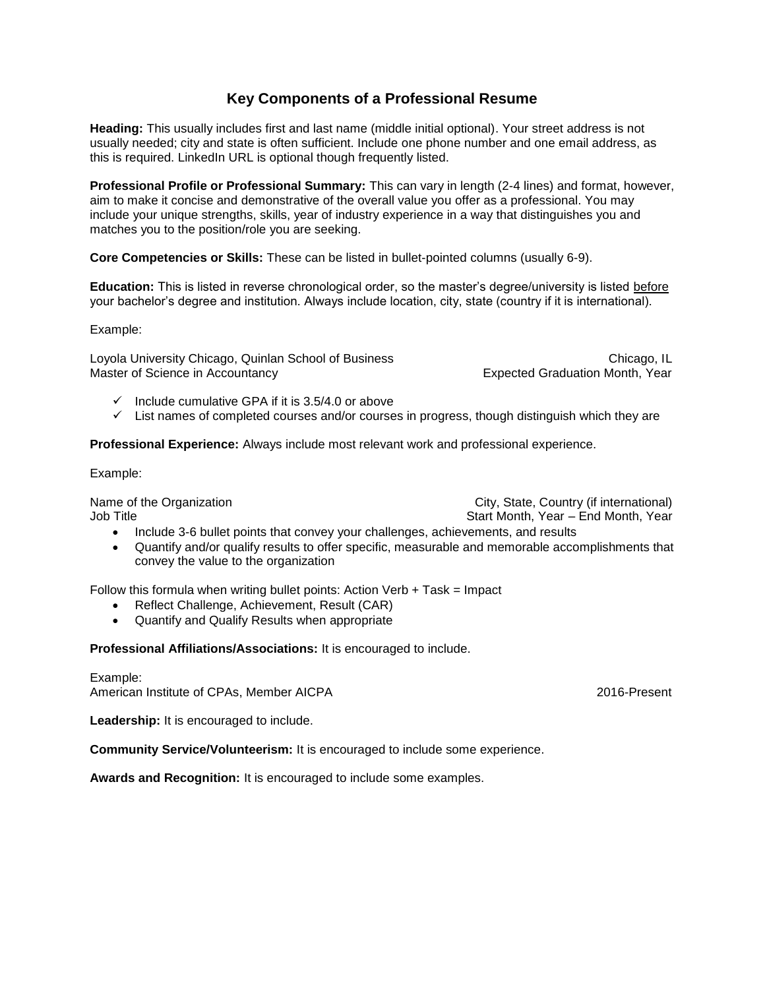# **Key Components of a Professional Resume**

**Heading:** This usually includes first and last name (middle initial optional). Your street address is not usually needed; city and state is often sufficient. Include one phone number and one email address, as this is required. LinkedIn URL is optional though frequently listed.

**Professional Profile or Professional Summary:** This can vary in length (2-4 lines) and format, however, aim to make it concise and demonstrative of the overall value you offer as a professional. You may include your unique strengths, skills, year of industry experience in a way that distinguishes you and matches you to the position/role you are seeking.

**Core Competencies or Skills:** These can be listed in bullet-pointed columns (usually 6-9).

**Education:** This is listed in reverse chronological order, so the master's degree/university is listed before your bachelor's degree and institution. Always include location, city, state (country if it is international).

Example:

Loyola University Chicago, Quinlan School of Business Chicago, Chicago, IL Master of Science in Accountancy **Expected Graduation Month, Year** Expected Graduation Month, Year

- $\checkmark$  Include cumulative GPA if it is 3.5/4.0 or above
- $\checkmark$  List names of completed courses and/or courses in progress, though distinguish which they are

**Professional Experience:** Always include most relevant work and professional experience.

Example:

Name of the Organization **City, State, Country (if international)** Job Title Start Month, Year – End Month, Year – End Month, Year – End Month, Year

- Include 3-6 bullet points that convey your challenges, achievements, and results
- Quantify and/or qualify results to offer specific, measurable and memorable accomplishments that convey the value to the organization

Follow this formula when writing bullet points: Action Verb  $+$  Task = Impact

- Reflect Challenge, Achievement, Result (CAR)
- Quantify and Qualify Results when appropriate

**Professional Affiliations/Associations:** It is encouraged to include.

Example: American Institute of CPAs, Member AICPA 2016-Present

Leadership: It is encouraged to include.

**Community Service/Volunteerism:** It is encouraged to include some experience.

**Awards and Recognition:** It is encouraged to include some examples.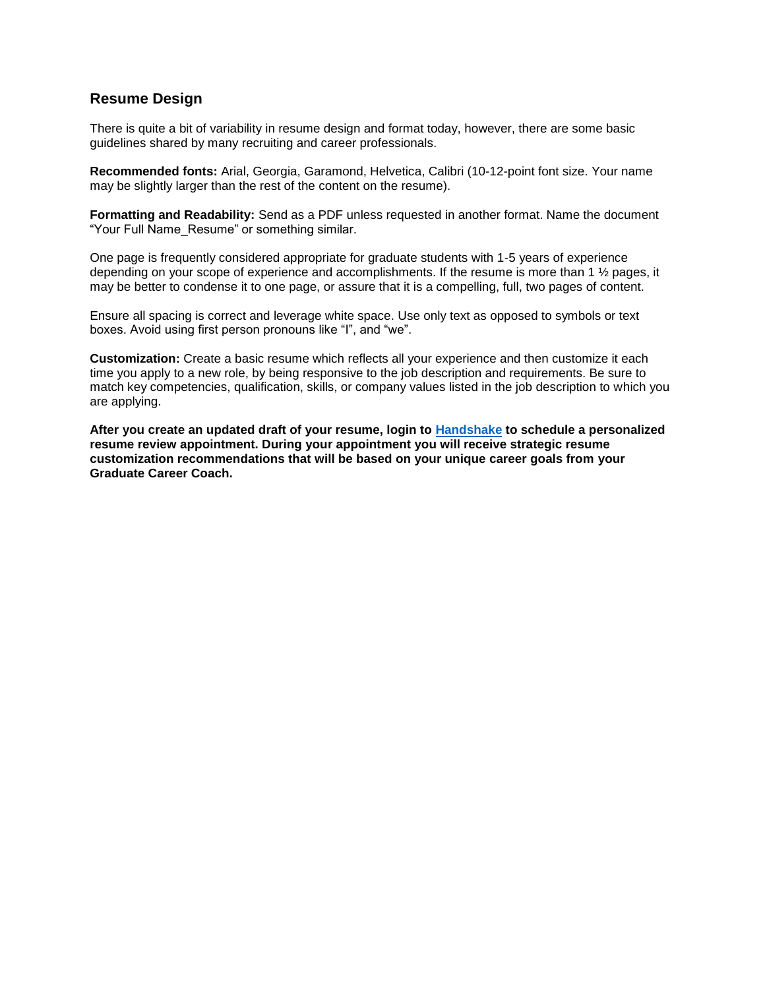# **Resume Design**

There is quite a bit of variability in resume design and format today, however, there are some basic guidelines shared by many recruiting and career professionals.

**Recommended fonts:** Arial, Georgia, Garamond, Helvetica, Calibri (10-12-point font size. Your name may be slightly larger than the rest of the content on the resume).

**Formatting and Readability:** Send as a PDF unless requested in another format. Name the document "Your Full Name\_Resume" or something similar.

One page is frequently considered appropriate for graduate students with 1-5 years of experience depending on your scope of experience and accomplishments. If the resume is more than 1 ½ pages, it may be better to condense it to one page, or assure that it is a compelling, full, two pages of content.

Ensure all spacing is correct and leverage white space. Use only text as opposed to symbols or text boxes. Avoid using first person pronouns like "I", and "we".

**Customization:** Create a basic resume which reflects all your experience and then customize it each time you apply to a new role, by being responsive to the job description and requirements. Be sure to match key competencies, qualification, skills, or company values listed in the job description to which you are applying.

**After you create an updated draft of your resume, login to [Handshake](https://luc.joinhandshake.com/) to schedule a personalized resume review appointment. During your appointment you will receive strategic resume customization recommendations that will be based on your unique career goals from your Graduate Career Coach.**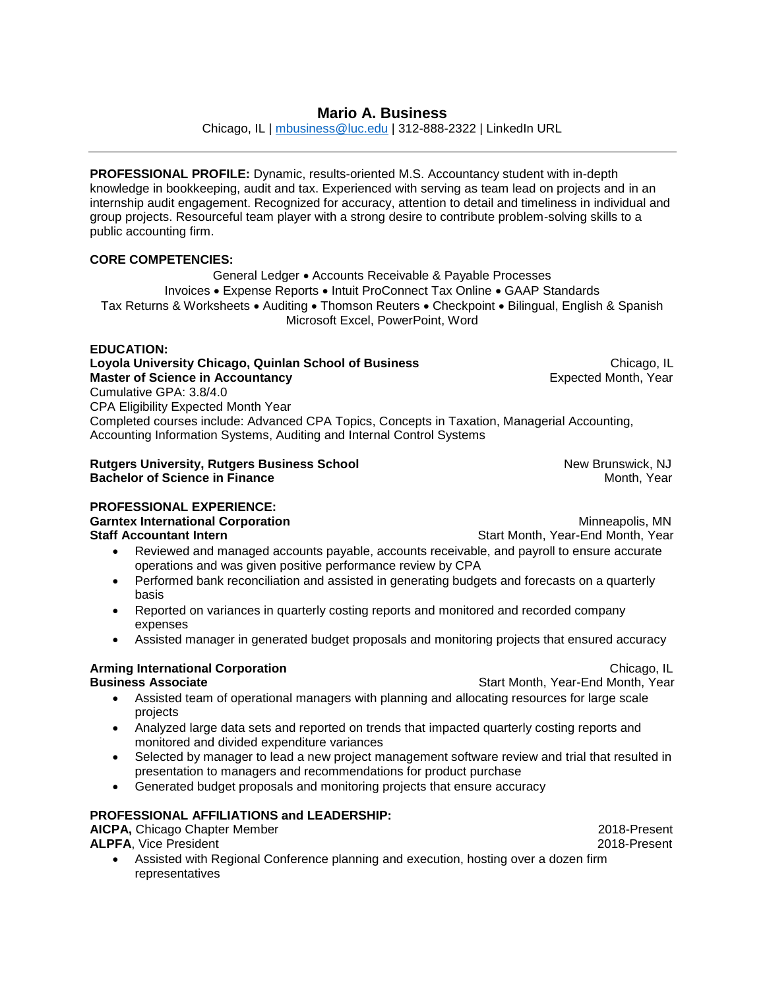# **Mario A. Business**

Chicago, IL | [mbusiness@luc.edu](mailto:mbusiness@luc.edu) | 312-888-2322 | LinkedIn URL

**PROFESSIONAL PROFILE:** Dynamic, results-oriented M.S. Accountancy student with in-depth knowledge in bookkeeping, audit and tax. Experienced with serving as team lead on projects and in an internship audit engagement. Recognized for accuracy, attention to detail and timeliness in individual and group projects. Resourceful team player with a strong desire to contribute problem-solving skills to a public accounting firm.

#### **CORE COMPETENCIES:**

General Ledger • Accounts Receivable & Payable Processes Invoices • Expense Reports • Intuit ProConnect Tax Online • GAAP Standards Tax Returns & Worksheets • Auditing • Thomson Reuters • Checkpoint • Bilingual, English & Spanish Microsoft Excel, PowerPoint, Word

#### **EDUCATION:**

#### **Loyola University Chicago, Quinlan School of Business <br>Master of Science in Accountancy Master of Science in Accountancy Master of Science in Accountancy** Cumulative GPA: 3.8/4.0 CPA Eligibility Expected Month Year

Completed courses include: Advanced CPA Topics, Concepts in Taxation, Managerial Accounting, Accounting Information Systems, Auditing and Internal Control Systems

#### **Rutgers University, Rutgers Business School <b>New Brunswick, NJ** New Brunswick, NJ **Bachelor of Science in Finance** Month, Year and Month, Year and Month, Year and Month, Year

#### **PROFESSIONAL EXPERIENCE:**

**Garntex International Corporation Garntex International Corporation Staff Accountant Intern <b>Start Accountant Intern Start Month, Year-End Month, Year** 

- Reviewed and managed accounts payable, accounts receivable, and payroll to ensure accurate operations and was given positive performance review by CPA
- Performed bank reconciliation and assisted in generating budgets and forecasts on a quarterly basis
- Reported on variances in quarterly costing reports and monitored and recorded company expenses
- Assisted manager in generated budget proposals and monitoring projects that ensured accuracy

### **Arming International Corporation** Chicago, IL

- **Business Associate Start Month, Year-End Month, Year-**Start Month, Year-End Month, Year
	- Assisted team of operational managers with planning and allocating resources for large scale projects
	- Analyzed large data sets and reported on trends that impacted quarterly costing reports and monitored and divided expenditure variances
	- Selected by manager to lead a new project management software review and trial that resulted in presentation to managers and recommendations for product purchase
	- Generated budget proposals and monitoring projects that ensure accuracy

# **PROFESSIONAL AFFILIATIONS and LEADERSHIP:**

**AICPA,** Chicago Chapter Member 2018-Present **ALPFA**, Vice President 2018-Present

 Assisted with Regional Conference planning and execution, hosting over a dozen firm representatives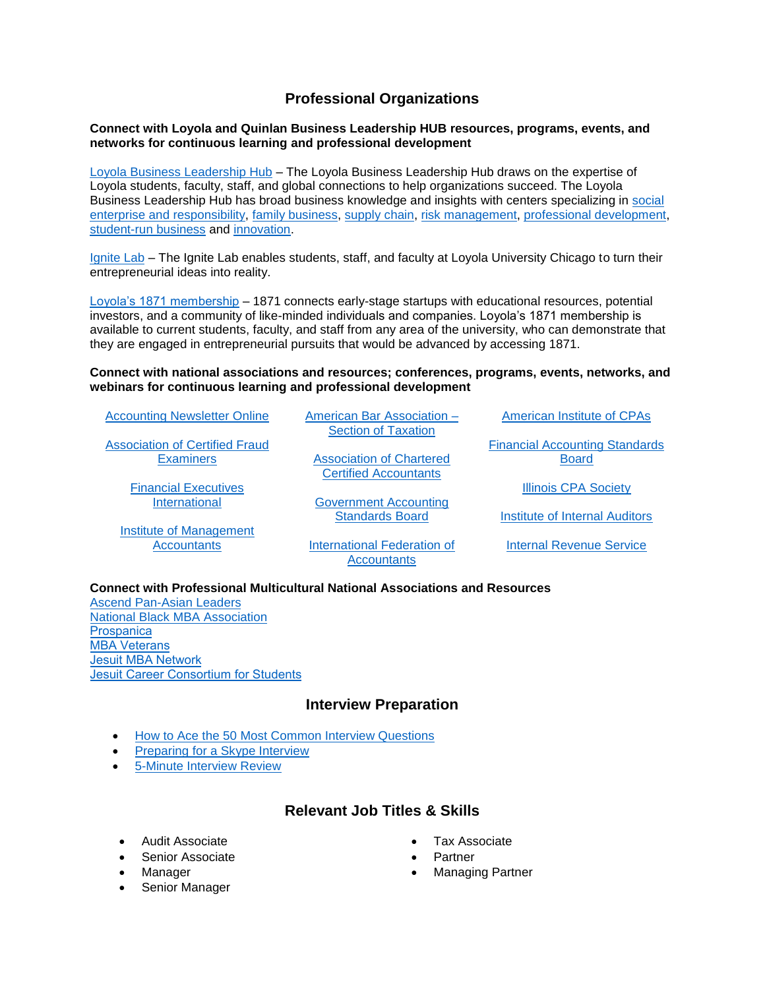# **Professional Organizations**

#### **Connect with Loyola and Quinlan Business Leadership HUB resources, programs, events, and networks for continuous learning and professional development**

[Loyola Business Leadership Hub](https://www.luc.edu/leadershiphub/) – The Loyola Business Leadership Hub draws on the expertise of Loyola students, faculty, staff, and global connections to help organizations succeed. The Loyola Business Leadership Hub has broad business knowledge and insights with centers specializing in [social](https://www.luc.edu/baumhartcenter/)  [enterprise and responsibility,](https://www.luc.edu/baumhartcenter/) [family business,](https://www.luc.edu/leadershiphub/centers/familybusiness/) [supply chain,](https://www.luc.edu/leadershiphub/centers/supplyandvaluechain/) [risk management,](https://www.luc.edu/leadershiphub/centers/riskmanagement/) [professional development,](https://www.luc.edu/executiveeducation/) [student-run business](https://www.luc.edu/leadershiphub/centers/loyolalimited/) and [innovation.](https://www.luc.edu/leadershiphub/centers/innovation/)

[Ignite Lab](https://www.ignitelab.org/) – The Ignite Lab enables students, staff, and faculty at Loyola University Chicago to turn their entrepreneurial ideas into reality.

[Loyola's 1871 membership](http://stignitelab.org/access-to-1871-1) – 1871 connects early-stage startups with educational resources, potential investors, and a community of like-minded individuals and companies. Loyola's 1871 membership is available to current students, faculty, and staff from any area of the university, who can demonstrate that they are engaged in entrepreneurial pursuits that would be advanced by accessing 1871.

#### **Connect with national associations and resources; conferences, programs, events, networks, and webinars for continuous learning and professional development**

[Accounting Newsletter Online](https://www.accountingweb.com/)

[Association of Certified Fraud](https://www.acfe.com/)  **[Examiners](https://www.acfe.com/)** 

> [Financial Executives](https://www.financialexecutives.org/)  [International](https://www.financialexecutives.org/)

[Institute of Management](https://www.imanet.org/?ssopc=1)  **[Accountants](https://www.imanet.org/?ssopc=1)** 

[American Bar Association –](https://www.americanbar.org/groups/taxation/) [Section of Taxation](https://www.americanbar.org/groups/taxation/)

[Association of Chartered](https://www.accaglobal.com/us/en/student.html)  [Certified Accountants](https://www.accaglobal.com/us/en/student.html)

[Government Accounting](https://www.gasb.org/home)  [Standards](https://www.gasb.org/home) Board

[International Federation of](https://www.ifac.org/)  **[Accountants](https://www.ifac.org/)** 

[American Institute of CPAs](https://www.aicpa.org/)

[Financial Accounting Standards](https://www.fasb.org/home)  [Board](https://www.fasb.org/home)

[Illinois CPA Society](https://www.icpas.org/)

[Institute of Internal Auditors](https://na.theiia.org/Pages/IIAHome.aspx)

[Internal Revenue Service](https://www.irs.gov/)

#### **Connect with Professional Multicultural National Associations and Resources**

[Ascend Pan-Asian Leaders](https://www.ascendleadership.org/) [National Black MBA Association](https://nbmbaa.org/) **[Prospanica](https://www.prospanica.org/)** MBA Veterans [Jesuit MBA Network](https://www.luc.edu/quinlan/mba/jesuitmbanetwork/)  [Jesuit Career Consortium for Students](http://www.ajcunet.edu/career-service-leaders) 

# **Interview Preparation**

- [How to Ace the 50 Most Common Interview Questions](https://www.forbes.com/sites/jacquelynsmith/2013/01/11/how-to-ace-the-50-most-common-interview-questions/#d211b804624d)
- [Preparing for a Skype Interview](https://www.icpas.org/information/copy-desk/insight/article/digital-exclusive/are-you-skype-interview-ready)
- [5-Minute Interview Review](https://www.luc.edu/media/lucedu/quinlan-businesscareerservices/pdfs/Resume%20Review-1.pdf)

# **Relevant Job Titles & Skills**

- Audit Associate
- Senior Associate
- Manager
- Senior Manager
- Tax Associate
- Partner
- Managing Partner